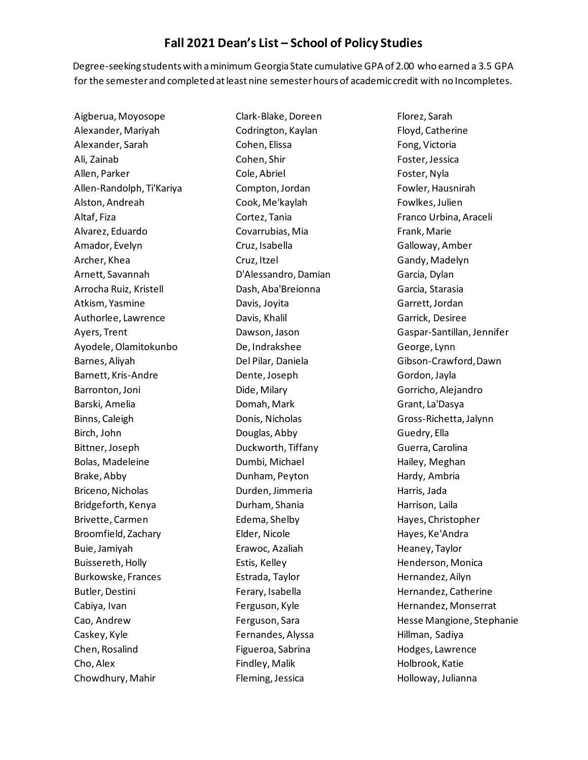## **Fall 2021 Dean's List – School of Policy Studies**

Degree-seeking students with a minimum Georgia State cumulative GPA of 2.00 who earned a 3.5 GPA for the semester and completed at least nine semester hours of academic credit with no Incompletes.

Aigberua, Moyosope Alexander, Mariyah Alexander, Sarah Ali, Zainab Allen, Parker Allen-Randolph, Ti'Kariya Alston, Andreah Altaf, Fiza Alvarez, Eduardo Amador, Evelyn Archer, Khea Arnett, Savannah Arrocha Ruiz, Kristell Atkism, Yasmine Authorlee, Lawrence Ayers, Trent Ayodele, Olamitokunbo Barnes, Aliyah Barnett, Kris-Andre Barronton, Joni Barski, Amelia Binns, Caleigh Birch, John Bittner, Joseph Bolas, Madeleine Brake, Abby Briceno, Nicholas Bridgeforth, Kenya Brivette, Carmen Broomfield, Zachary Buie, Jamiyah Buissereth, Holly Burkowske, Frances Butler, Destini Cabiya, Ivan Cao, Andrew Caskey, Kyle Chen, Rosalind Cho, Alex Chowdhury, Mahir

Clark-Blake, Doreen Codrington, Kaylan Cohen, Elissa Cohen, Shir Cole, Abriel Compton, Jordan Cook, Me'kaylah Cortez, Tania Covarrubias, Mia Cruz, Isabella Cruz, Itzel D'Alessandro, Damian Dash, Aba'Breionna Davis, Joyita Davis, Khalil Dawson, Jason De, Indrakshee Del Pilar, Daniela Dente, Joseph Dide, Milary Domah, Mark Donis, Nicholas Douglas, Abby Duckworth, Tiffany Dumbi, Michael Dunham, Peyton Durden, Jimmeria Durham, Shania Edema, Shelby Elder, Nicole Erawoc, Azaliah Estis, Kelley Estrada, Taylor Ferary, Isabella Ferguson, Kyle Ferguson, Sara Fernandes, Alyssa Figueroa, Sabrina Findley, Malik Fleming, Jessica

Florez, Sarah Floyd, Catherine Fong, Victoria Foster, Jessica Foster, Nyla Fowler, Hausnirah Fowlkes, Julien Franco Urbina, Araceli Frank, Marie Galloway, Amber Gandy, Madelyn Garcia, Dylan Garcia, Starasia Garrett, Jordan Garrick, Desiree Gaspar-Santillan, Jennifer George, Lynn Gibson-Crawford, Dawn Gordon, Jayla Gorricho, Alejandro Grant, La'Dasya Gross-Richetta, Jalynn Guedry, Ella Guerra, Carolina Hailey, Meghan Hardy, Ambria Harris, Jada Harrison, Laila Hayes, Christopher Hayes, Ke'Andra Heaney, Taylor Henderson, Monica Hernandez, Ailyn Hernandez, Catherine Hernandez, Monserrat Hesse Mangione, Stephanie Hillman, Sadiya Hodges, Lawrence Holbrook, Katie Holloway, Julianna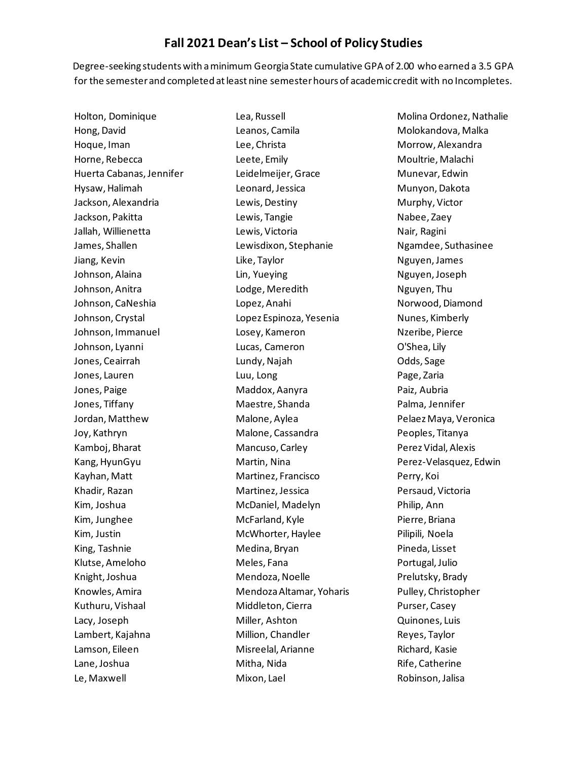## **Fall 2021 Dean's List – School of Policy Studies**

Degree-seeking students with a minimum Georgia State cumulative GPA of 2.00 who earned a 3.5 GPA for the semester and completed at least nine semester hours of academic credit with no Incompletes.

Holton, Dominique Hong, David Hoque, Iman Horne, Rebecca Huerta Cabanas, Jennifer Hysaw, Halimah Jackson, Alexandria Jackson, Pakitta Jallah, Willienetta James, Shallen Jiang, Kevin Johnson, Alaina Johnson, Anitra Johnson, CaNeshia Johnson, Crystal Johnson, Immanuel Johnson, Lyanni Jones, Ceairrah Jones, Lauren Jones, Paige Jones, Tiffany Jordan, Matthew Joy, Kathryn Kamboj, Bharat Kang, HyunGyu Kayhan, Matt Khadir, Razan Kim, Joshua Kim, Junghee Kim, Justin King, Tashnie Klutse, Ameloho Knight, Joshua Knowles, Amira Kuthuru, Vishaal Lacy, Joseph Lambert, Kajahna Lamson, Eileen Lane, Joshua Le, Maxwell

Lea, Russell Leanos, Camila Lee, Christa Leete, Emily Leidelmeijer, Grace Leonard, Jessica Lewis, Destiny Lewis, Tangie Lewis, Victoria Lewisdixon, Stephanie Like, Taylor Lin, Yueying Lodge, Meredith Lopez, Anahi Lopez Espinoza, Yesenia Losey, Kameron Lucas, Cameron Lundy, Najah Luu, Long Maddox, Aanyra Maestre, Shanda Malone, Aylea Malone, Cassandra Mancuso, Carley Martin, Nina Martinez, Francisco Martinez, Jessica McDaniel, Madelyn McFarland, Kyle McWhorter, Haylee Medina, Bryan Meles, Fana Mendoza, Noelle Mendoza Altamar, Yoharis Middleton, Cierra Miller, Ashton Million, Chandler Misreelal, Arianne Mitha, Nida Mixon, Lael

Molina Ordonez, Nathalie Molokandova, Malka Morrow, Alexandra Moultrie, Malachi Munevar, Edwin Munyon, Dakota Murphy, Victor Nabee, Zaey Nair, Ragini Ngamdee, Suthasinee Nguyen, James Nguyen, Joseph Nguyen, Thu Norwood, Diamond Nunes, Kimberly Nzeribe, Pierce O'Shea, Lily Odds, Sage Page, Zaria Paiz, Aubria Palma, Jennifer Pelaez Maya, Veronica Peoples, Titanya Perez Vidal, Alexis Perez-Velasquez, Edwin Perry, Koi Persaud, Victoria Philip, Ann Pierre, Briana Pilipili, Noela Pineda, Lisset Portugal, Julio Prelutsky, Brady Pulley, Christopher Purser, Casey Quinones, Luis Reyes, Taylor Richard, Kasie Rife, Catherine Robinson, Jalisa